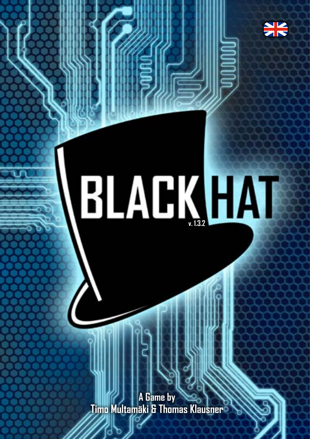

# **BLACK HAI**

**A Game by Timo Multamäki & Thomas Klausner**

75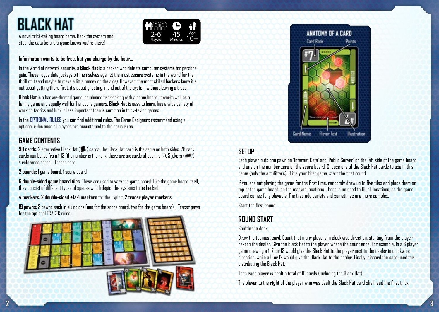# **BLACK HAT**

A novel trick-taking board game. Hack the system and steal the data before anyone knows you're there!

#### **Information wants to be free, but you charge by the hour...**

In the world of network security, a **Black Hat** is a hacker who defeats computer systems for personal gain. These rogue data jockeys pit themselves against the most secure systems in the world for the thrill of it (and maybe to make a little money on the side). However, the most skilled hackers know it's not about getting there first, it's about ghosting in and out of the system without leaving a trace.

2-6 Players

45 Minutes

Age 10+

**Black Hat** is a hacker-themed game, combining trick-taking with a game board. It works well as a family game and equally well for hardcore gamers. **Black Hat** is easy to learn, has a wide variety of working tactics and luck is less important than is common in trick-taking games.

In the **OPTIONAL RULES** you can find additional rules. The Game Designers recommend using all optional rules once all players are accustomed to the basic rules.

#### **GAME CONTENTS**

**90 cards:** 2 alternative Black Hat ( $\blacksquare$ ) cards. The Black Hat card is the same on both sides. 78 rank cards numbered from 1-13 (the number is the rank; there are six cards of each rank), 5 jokers ( $\blacktriangleleft$ ), 4reference cards, 1 Tracer card.

**2 boards:** 1 game board, 1 score board

**6 double-sided game board tiles.** These are used to vary the game board. Like the game board itself, they consist of different types of spaces which depict the systems to be hacked.

**4 markers: 2 double-sided +1/-1 markers** for the Exploit, **2 tracer player markers**

**19 pawns:** 3 pawns each in six colors (one for the score board, two for the game board), 1 Tracer pawn for the optional TRACER rules.





# **Setup**

Each player puts one pawn on 'Internet Cafe' and 'Public Server' on the left side of the game board and one on the number zero on the score board. Choose one of the Black Hat cards to use in this game (only the art differs). If it's your first game, start the first round.

If you are not playing the game for the first time, randomly draw up to five tiles and place them on top of the game board, on the marked locations. There is no need to fill all locations, as the game board comes fully playable. The tiles add variety and sometimes are more complex.

Start the first round.

#### **Round Start**

Shuffle the deck.

Draw the topmost card. Count that many players in clockwise direction, starting from the player next to the dealer. Give the Black Hat to the player where the count ends. For example, in a 6 player game drawing a 1, 7, or 13 would give the Black Hat to the player next to the dealer in clockwise direction, while a 6 or 12 would give the Black Hat to the dealer. Finally, discard the card used for distributing the Black Hat.

Then each player is dealt a total of 10 cards (including the Black Hat).

The player to the **right** of the player who was dealt the Black Hat card shall lead the first trick.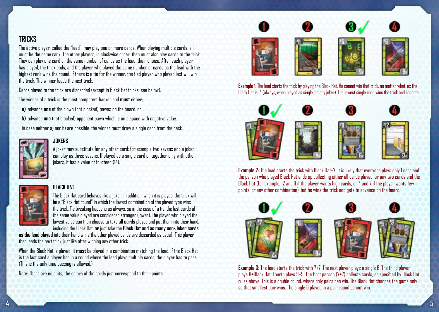#### **Tricks**

The active player, called the "lead", may play one or more cards. When playing multiple cards, all must be the same rank. The other players, in clockwise order, then must also play cards to the trick. They can play one card or the same number of cards as the lead, their choice. After each player has played, the trick ends, and the player who played the same number of cards as the lead with the highest rank wins the round. If there is a tie for the winner, the tied player who played last will win the trick. The winner leads the next trick.

Cards played to the trick are discarded (except in Black Hat tricks, see below).

The winner of a trick is the most competent hacker and **must** either;

**a)** advance **one** of their own (not blocked) pawns on the board, or

**b)** advance **one** (not blocked) opponent pawn which is on a space with negative value.

In case neither a) nor b) are possible, the winner must draw a single card from the deck.



#### **Jokers**

A joker may substitute for any other card; for example two sevens and a joker can play as three sevens. If played as a single card or together only with other jokers, it has a value of fourteen (14).



#### **Black hat**

The Black Hat card behaves like a joker. In addition, when it is played, the trick will be a "Black Hat round" in which the lowest combination of the played type wins the trick. Tie breaking happens as always, so in the case of a tie, the last cards of the same value played are considered stronger (lower). The player who played the lowest value can then choose to take **all cards** played and put them into their hand, including the Black Hat, **or** just take the **Black Hat and as many non-Joker cards** 

**as the lead played** into their hand while the other played cards are discarded as usual. This player then leads the next trick, just like after winning any other trick.

When the Black Hat is played, it **must** be played in a combination matching the lead. If the Black Hat is the last card a player has in a round where the lead plays multiple cards, the player has to pass. (This is the only time passing is allowed.)

Note: There are no suits, the colors of the cards just correspond to their points.









**Example 1:** The lead starts the trick by playing the Black Hat. He cannot win that trick, no matter what, as the Black Hat is 14 (always, when played as single, as any joker). The lowest single card wins the trick and collects.











**Example 2:** The lead starts the trick with Black Hat+7. It is likely that everyone plays only 1 card and the person who played Black Hat ends up collecting either all cards played, or any two cards and the Black Hat (for example, 12 and 9 if the player wants high cards, or 4 and 7 if the player wants few points, or any other combination), but he wins the trick and gets to advance on the board.



**Example 3:** The lead starts the trick with 7+7. The next player plays a single 6. The third player plays 8+Black Hat. Fourth plays 9+9. The first person (7+7) collects cards, as specified by Black Hat rules above. This is a double round, where only pairs can win. The Black Hat changes the game only so that smallest pair wins. The single 6 played in a pair round cannot win.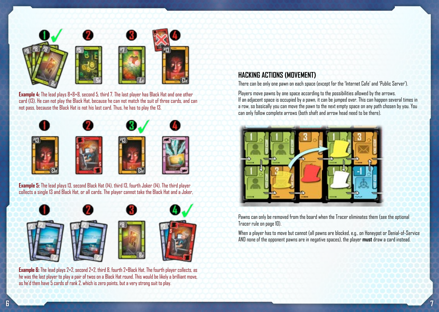

**Example 4:** The lead plays 8+8+8, second 5, third 7. The last player has Black Hat and one other card (13). He can not play the Black Hat, because he can not match the suit of three cards, and can not pass, because the Black Hat is not his last card. Thus, he has to play the 13.



**Example 5:** The lead plays 13, second Black Hat (14), third 13, fourth Joker (14). The third player collects a single 13 and Black Hat, or all cards. The player cannot take the Black Hat and a Joker,



**Example 6:** The lead plays 2+2, second 2+2, third 8, fourth 2+Black Hat. The fourth player collects, as he was the last player to play a pair of twos on a Black Hat round. This would be likely a brilliant move, as he'd then have 5 cards of rank 2, which is zero points, but a very strong suit to play.

# **Hacking Actions (Movement)**

There can be only one pawn on each space (except for the 'Internet Cafe' and 'Public Server').

Players move pawns by one space according to the possibilities allowed by the arrows. If an adjacent space is occupied by a pawn, it can be jumped over. This can happen several times in a row, so basically you can move the pawn to the next empty space on any path chosen by you. You can only follow complete arrows (both shaft and arrow head need to be there).



Pawns can only be removed from the board when the Tracer eliminates them (see the optional Tracer rule on page 10).

When a player has to move but cannot (all pawns are blocked, e.g., on Honeypot or Denial-of-Service AND none of the opponent pawns are in negative spaces), the player **must** draw a card instead.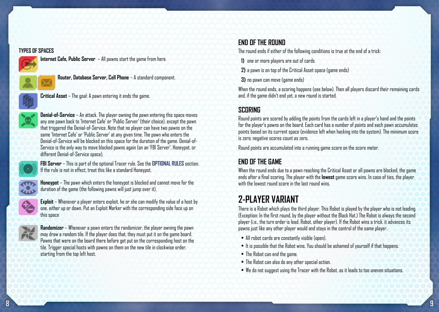#### **TYPES OF SPACES**



**Internet Cafe, Public Server** – All pawns start the game from here.



**Router, Database Server, Cell Phone** – A standard component.



**Critical Asset** – The goal: A pawn entering it ends the game.



**Denial-of-Service** – An attack. The player owning the pawn entering this space moves any one pawn back to 'Internet Cafe' or 'Public Server' (their choice), except the pawn that triggered the Denial-of-Service. Note that no player can have two pawns on the same 'Internet Cafe' or 'Public Server' at any given time. The pawn who enters the Denial-of-Service will be blocked on this space for the duration of the game. Denial-of-Service is the only way to move blocked pawns again (on an 'FBI Server', Honeypot, or different Denial-of-Service space).



**FBI Server** – This is part of the optional Tracer rule. See the **OPTIONAL RULES** section. If the rule is not in effect, treat this like a standard Honeypot.



**Honeypot** – The pawn which enters the honeypot is blocked and cannot move for the duration of the game (the following pawns will just jump over it).



**Exploit** – Whenever a player enters exploit, he or she can modify the value of a host by one, either up or down. Put an Exploit Marker with the corresponding side face up on this space



**Randomizer** – Whenever a pawn enters the randomizer, the player owning the pawn may draw a random tile. If the player does that, they must put it on the game board. Pawns that were on the board there before get put on the corresponding host on the tile. Trigger special hosts with pawns on them on the new tile in clockwise order, starting from the top left host.

# **END OF THE ROUND**

The round ends if either of the following conditions is true at the end of a trick:

**1)** one or more players are out of cards

**2)** a pawn is on top of the Critical Asset space (game ends)

**3)** no pawn can move (game ends)

When the round ends, a scoring happens (see below). Then all players discard their remaining cards and, if the game didn't end yet, a new round is started.

# **SCORING**

Round points are scored by adding the points from the cards left in a player's hand and the points for the player's pawns on the board. Each card has a number of points and each pawn accumulates points based on its current space (evidence left when hacking into the system). The minimum score is zero; negative scores count as zero.

Round points are accumulated into a running game score on the score meter.

# **End of the Game**

When the round ends due to a pawn reaching the Critical Asset or all pawns are blocked, the game ends after a final scoring. The player with the **lowest** game score wins. In case of ties, the player with the lowest round score in the last round wins.

# **2-player Variant**

There is a Robot which plays the third player. This Robot is played by the player who is not leading. (Exception: In the first round, by the player without the Black Hat.) The Robot is always the second player (i.e., the turn order is lead, Robot, other player). If the Robot wins a trick, it advances its pawns just like any other player would and stays in the control of the same player.

- All robot cards are constantly visible (open).
- It is possible that the Robot wins. You should be ashamed of yourself if that happens.
- The Robot can end the game.
- The Robot can also do any other special action.
- We do not suggest using the Tracer with the Robot, as it leads to too uneven situations.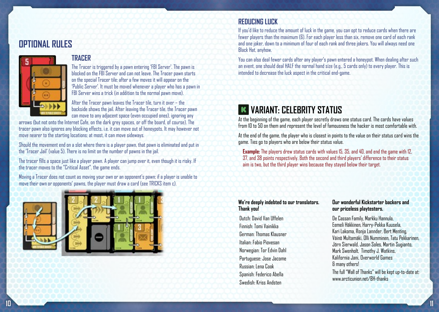# **OPTIONAL RULES**



#### **Tracer**

The Tracer is triggered by a pawn entering 'FBI Server'. The pawn is blocked on the FBI Server and can not leave. The Tracer pawn starts on the special Tracer tile; after a few moves it will appear on the 'Public Server'. It must be moved whenever a player who has a pawn in FBI Server wins a trick (in addition to the normal pawn move).

After the Tracer pawn leaves the Tracer tile, turn it over – the backside shows the jail. After leaving the Tracer tile, the Tracer pawn can move to any adjacent space (even occupied ones), ignoring any

arrows (but not onto the Internet Cafe, on the dark grey spaces, or off the board, of course). The tracer pawn also ignores any blocking effects, i.e. it can move out of honeypots. It may however not move nearer to the starting locations; at most, it can move sideways.

Should the movement end on a slot where there is a player pawn, that pawn is eliminated and put in the 'Tracer Jail' (value 5). There is no limit on the number of pawns in the jail.

The tracer fills a space just like a player pawn. A player can jump over it, even though it is risky. If the tracer moves to the "Critical Asset", the game ends.

Moving a Tracer does not count as moving your own or an opponent's pawn; if a player is unable to move their own or opponents' pawns, the player must draw a card (see TRICKS item c).



#### **REDUCING LUCK**

If you'd like to reduce the amount of luck in the game, you can opt to reduce cards when there are fewer players than the maximum (6). For each player less than six, remove one card of each rank and one joker, down to a minimum of four of each rank and three jokers. You will always need one Black Hat, anyhow.

You can also deal fewer cards after any player's pawn entered a honeypot. When dealing after such an event, one should deal HALF the normal hand size (e.g., 5 cards only) to every player. This is intended to decrease the luck aspect in the critical end-game.

# **K VARIANT: CELEBRITY STATUS**

At the beginning of the game, each player secretly draws one status card. The cards have values from 10 to 50 on them and represent the level of famousness the hacker is most comfortable with.

At the end of the game, the player who is closest in points to the value on their status card wins the game. Ties go to players who are below their status value.

**Example:** The players drew status cards with values 15, 35, and 40, and end the game with 12, 37, and 38 points respectively. Both the second and third players' difference to their status aim is two, but the third player wins because they stayed below their target.

#### **We're deeply indebted to our translators. Thank you!**

 Dutch: David Van Uffelen Finnish: Tomi Vainikka German: Thomas Klausner Italian: Fabio Piovesan Norwegian: Tor Edvin Dahl Portuguese: Jose Jacome Russian: Lena Cook Spanish: Federico Abella Swedish: Kriss Andsten

#### **Our wonderful Kickstarter backers and our priceless playtesters.**

De Cassan Family, Markku Hannula, Eemeli Häkkinen, Harry-Pekka Kuusela, Kari Lakoma, Ronja Lannder, Bert Menting, Väinö Multamäki, Olli Numminen, Tatu Pekkarinen, Jörn Sierwald, Jason Soles, Martin Sugianto, Mark Swenholt, Timothy J. Watkins, Kalifornia Jani, Overworld Games & many others!

The full "Wall of Thanks" will be kept up-to-date at: www.arcticunion.net/RH-thanks